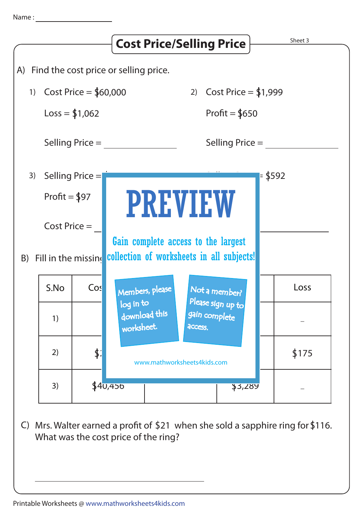

C) Mrs. Walter earned a profit of  $$21$  when she sold a sapphire ring for  $$116$ . What was the cost price of the ring?